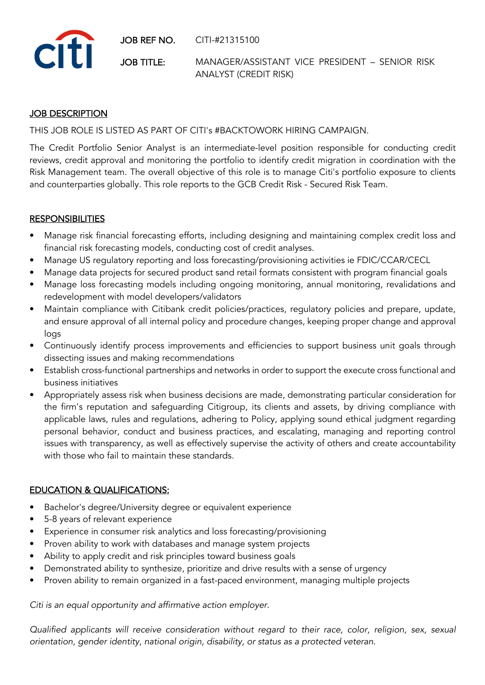JOB REF NO. CITI-#21315100



JOB TITLE: MANAGER/ASSISTANT VICE PRESIDENT – SENIOR RISK ANALYST (CREDIT RISK)

## JOB DESCRIPTION

THIS JOB ROLE IS LISTED AS PART OF CITI's #BACKTOWORK HIRING CAMPAIGN.

The Credit Portfolio Senior Analyst is an intermediate-level position responsible for conducting credit reviews, credit approval and monitoring the portfolio to identify credit migration in coordination with the Risk Management team. The overall objective of this role is to manage Citi's portfolio exposure to clients and counterparties globally. This role reports to the GCB Credit Risk - Secured Risk Team.

## **RESPONSIBILITIES**

- Manage risk financial forecasting efforts, including designing and maintaining complex credit loss and financial risk forecasting models, conducting cost of credit analyses.
- Manage US regulatory reporting and loss forecasting/provisioning activities ie FDIC/CCAR/CECL
- Manage data projects for secured product sand retail formats consistent with program financial goals
- Manage loss forecasting models including ongoing monitoring, annual monitoring, revalidations and redevelopment with model developers/validators
- Maintain compliance with Citibank credit policies/practices, regulatory policies and prepare, update, and ensure approval of all internal policy and procedure changes, keeping proper change and approval logs
- Continuously identify process improvements and efficiencies to support business unit goals through dissecting issues and making recommendations
- Establish cross-functional partnerships and networks in order to support the execute cross functional and business initiatives
- Appropriately assess risk when business decisions are made, demonstrating particular consideration for the firm's reputation and safeguarding Citigroup, its clients and assets, by driving compliance with applicable laws, rules and regulations, adhering to Policy, applying sound ethical judgment regarding personal behavior, conduct and business practices, and escalating, managing and reporting control issues with transparency, as well as effectively supervise the activity of others and create accountability with those who fail to maintain these standards.

## EDUCATION & QUALIFICATIONS:

- Bachelor's degree/University degree or equivalent experience
- 5-8 years of relevant experience
- Experience in consumer risk analytics and loss forecasting/provisioning
- Proven ability to work with databases and manage system projects
- Ability to apply credit and risk principles toward business goals
- Demonstrated ability to synthesize, prioritize and drive results with a sense of urgency
- Proven ability to remain organized in a fast-paced environment, managing multiple projects

*Citi is an equal opportunity and affirmative action employer.*

*Qualified applicants will receive consideration without regard to their race, color, religion, sex, sexual orientation, gender identity, national origin, disability, or status as a protected veteran.*